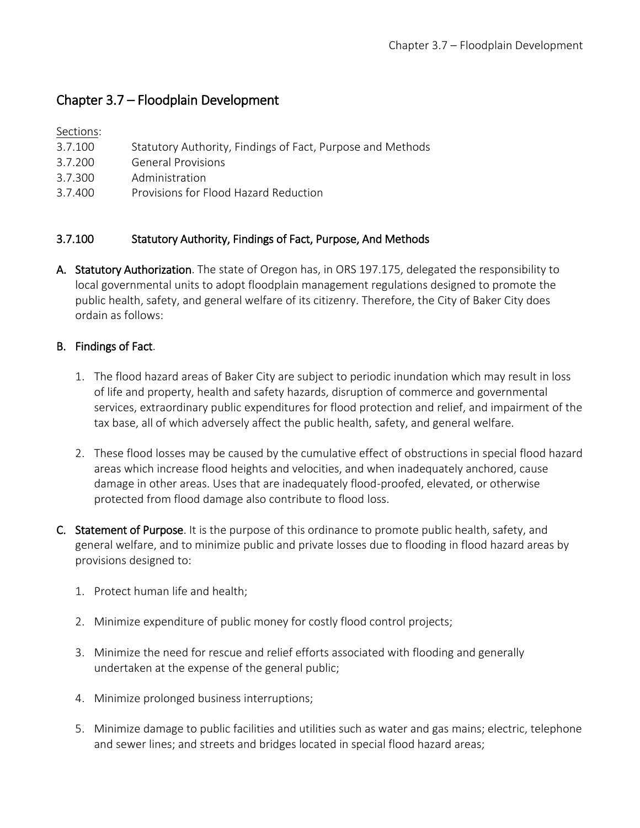# Chapter 3.7 – Floodplain Development

# Sections:

- 3.7.100 Statutory Authority, Findings of Fact, Purpose and Methods
- 3.7.200 General Provisions
- 3.7.300 Administration
- 3.7.400 Provisions for Flood Hazard Reduction

# 3.7.100 Statutory Authority, Findings of Fact, Purpose, And Methods

A. Statutory Authorization. The state of Oregon has, in ORS 197.175, delegated the responsibility to local governmental units to adopt floodplain management regulations designed to promote the public health, safety, and general welfare of its citizenry. Therefore, the City of Baker City does ordain as follows:

# B. Findings of Fact.

- 1. The flood hazard areas of Baker City are subject to periodic inundation which may result in loss of life and property, health and safety hazards, disruption of commerce and governmental services, extraordinary public expenditures for flood protection and relief, and impairment of the tax base, all of which adversely affect the public health, safety, and general welfare.
- 2. These flood losses may be caused by the cumulative effect of obstructions in special flood hazard areas which increase flood heights and velocities, and when inadequately anchored, cause damage in other areas. Uses that are inadequately flood-proofed, elevated, or otherwise protected from flood damage also contribute to flood loss.
- C. Statement of Purpose. It is the purpose of this ordinance to promote public health, safety, and general welfare, and to minimize public and private losses due to flooding in flood hazard areas by provisions designed to:
	- 1. Protect human life and health;
	- 2. Minimize expenditure of public money for costly flood control projects;
	- 3. Minimize the need for rescue and relief efforts associated with flooding and generally undertaken at the expense of the general public;
	- 4. Minimize prolonged business interruptions;
	- 5. Minimize damage to public facilities and utilities such as water and gas mains; electric, telephone and sewer lines; and streets and bridges located in special flood hazard areas;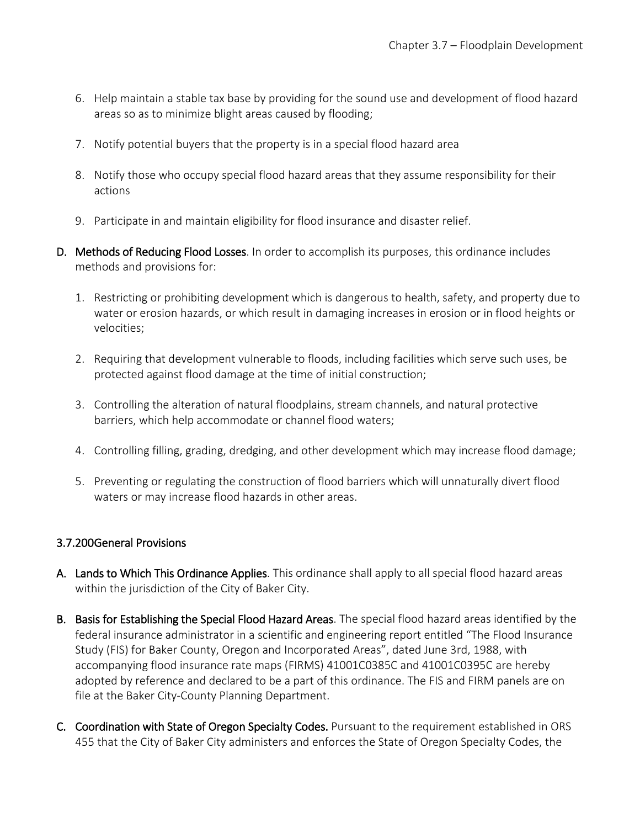- 6. Help maintain a stable tax base by providing for the sound use and development of flood hazard areas so as to minimize blight areas caused by flooding;
- 7. Notify potential buyers that the property is in a special flood hazard area
- 8. Notify those who occupy special flood hazard areas that they assume responsibility for their actions
- 9. Participate in and maintain eligibility for flood insurance and disaster relief.
- D. Methods of Reducing Flood Losses. In order to accomplish its purposes, this ordinance includes methods and provisions for:
	- 1. Restricting or prohibiting development which is dangerous to health, safety, and property due to water or erosion hazards, or which result in damaging increases in erosion or in flood heights or velocities;
	- 2. Requiring that development vulnerable to floods, including facilities which serve such uses, be protected against flood damage at the time of initial construction;
	- 3. Controlling the alteration of natural floodplains, stream channels, and natural protective barriers, which help accommodate or channel flood waters;
	- 4. Controlling filling, grading, dredging, and other development which may increase flood damage;
	- 5. Preventing or regulating the construction of flood barriers which will unnaturally divert flood waters or may increase flood hazards in other areas.

# 3.7.200 General Provisions

- A. Lands to Which This Ordinance Applies. This ordinance shall apply to all special flood hazard areas within the jurisdiction of the City of Baker City.
- B. Basis for Establishing the Special Flood Hazard Areas. The special flood hazard areas identified by the federal insurance administrator in a scientific and engineering report entitled "The Flood Insurance Study (FIS) for Baker County, Oregon and Incorporated Areas", dated June 3rd, 1988, with accompanying flood insurance rate maps (FIRMS) 41001C0385C and 41001C0395C are hereby adopted by reference and declared to be a part of this ordinance. The FIS and FIRM panels are on file at the Baker City-County Planning Department.
- C. Coordination with State of Oregon Specialty Codes. Pursuant to the requirement established in ORS 455 that the City of Baker City administers and enforces the State of Oregon Specialty Codes, the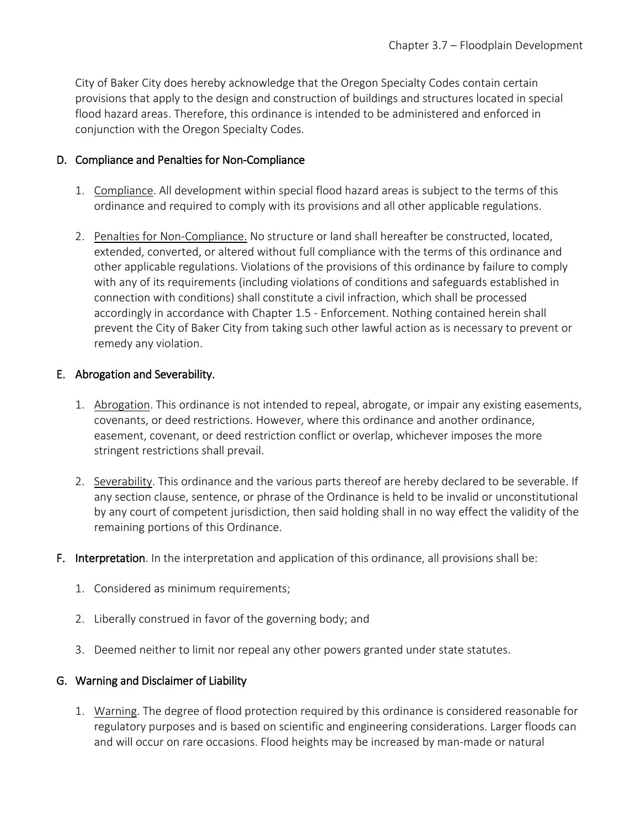City of Baker City does hereby acknowledge that the Oregon Specialty Codes contain certain provisions that apply to the design and construction of buildings and structures located in special flood hazard areas. Therefore, this ordinance is intended to be administered and enforced in conjunction with the Oregon Specialty Codes.

#### D. Compliance and Penalties for Non-Compliance

- 1. Compliance. All development within special flood hazard areas is subject to the terms of this ordinance and required to comply with its provisions and all other applicable regulations.
- 2. Penalties for Non-Compliance. No structure or land shall hereafter be constructed, located, extended, converted, or altered without full compliance with the terms of this ordinance and other applicable regulations. Violations of the provisions of this ordinance by failure to comply with any of its requirements (including violations of conditions and safeguards established in connection with conditions) shall constitute a civil infraction, which shall be processed accordingly in accordance with Chapter 1.5 - Enforcement. Nothing contained herein shall prevent the City of Baker City from taking such other lawful action as is necessary to prevent or remedy any violation.

### E. Abrogation and Severability.

- 1. Abrogation. This ordinance is not intended to repeal, abrogate, or impair any existing easements, covenants, or deed restrictions. However, where this ordinance and another ordinance, easement, covenant, or deed restriction conflict or overlap, whichever imposes the more stringent restrictions shall prevail.
- 2. Severability. This ordinance and the various parts thereof are hereby declared to be severable. If any section clause, sentence, or phrase of the Ordinance is held to be invalid or unconstitutional by any court of competent jurisdiction, then said holding shall in no way effect the validity of the remaining portions of this Ordinance.
- F. Interpretation. In the interpretation and application of this ordinance, all provisions shall be:
	- 1. Considered as minimum requirements;
	- 2. Liberally construed in favor of the governing body; and
	- 3. Deemed neither to limit nor repeal any other powers granted under state statutes.

#### G. Warning and Disclaimer of Liability

1. Warning. The degree of flood protection required by this ordinance is considered reasonable for regulatory purposes and is based on scientific and engineering considerations. Larger floods can and will occur on rare occasions. Flood heights may be increased by man-made or natural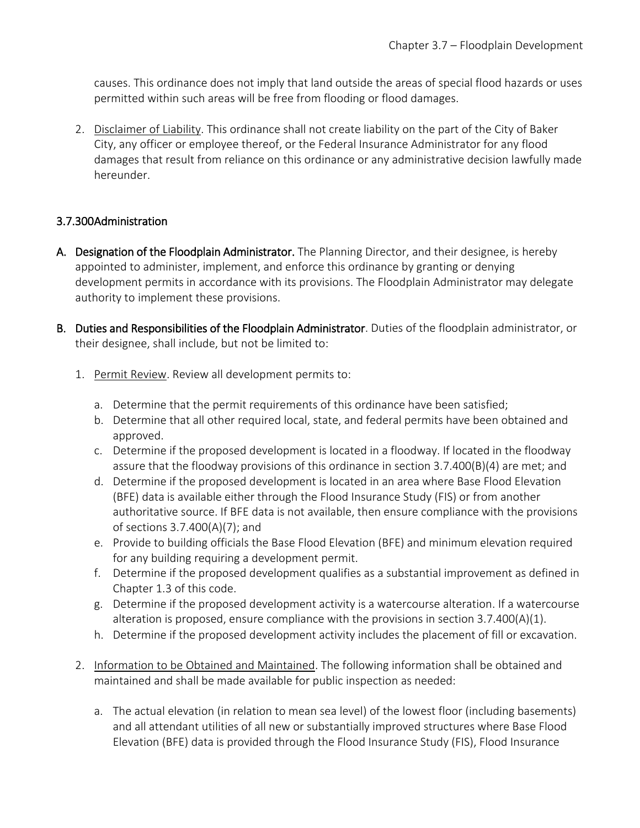causes. This ordinance does not imply that land outside the areas of special flood hazards or uses permitted within such areas will be free from flooding or flood damages.

2. Disclaimer of Liability. This ordinance shall not create liability on the part of the City of Baker City, any officer or employee thereof, or the Federal Insurance Administrator for any flood damages that result from reliance on this ordinance or any administrative decision lawfully made hereunder.

# 3.7.300 Administration

- A. Designation of the Floodplain Administrator. The Planning Director, and their designee, is hereby appointed to administer, implement, and enforce this ordinance by granting or denying development permits in accordance with its provisions. The Floodplain Administrator may delegate authority to implement these provisions.
- B. Duties and Responsibilities of the Floodplain Administrator. Duties of the floodplain administrator, or their designee, shall include, but not be limited to:
	- 1. Permit Review. Review all development permits to:
		- a. Determine that the permit requirements of this ordinance have been satisfied;
		- b. Determine that all other required local, state, and federal permits have been obtained and approved.
		- c. Determine if the proposed development is located in a floodway. If located in the floodway assure that the floodway provisions of this ordinance in section 3.7.400(B)(4) are met; and
		- d. Determine if the proposed development is located in an area where Base Flood Elevation (BFE) data is available either through the Flood Insurance Study (FIS) or from another authoritative source. If BFE data is not available, then ensure compliance with the provisions of sections 3.7.400(A)(7); and
		- e. Provide to building officials the Base Flood Elevation (BFE) and minimum elevation required for any building requiring a development permit.
		- f. Determine if the proposed development qualifies as a substantial improvement as defined in Chapter 1.3 of this code.
		- g. Determine if the proposed development activity is a watercourse alteration. If a watercourse alteration is proposed, ensure compliance with the provisions in section  $3.7.400(A)(1)$ .
		- h. Determine if the proposed development activity includes the placement of fill or excavation.
	- 2. Information to be Obtained and Maintained. The following information shall be obtained and maintained and shall be made available for public inspection as needed:
		- a. The actual elevation (in relation to mean sea level) of the lowest floor (including basements) and all attendant utilities of all new or substantially improved structures where Base Flood Elevation (BFE) data is provided through the Flood Insurance Study (FIS), Flood Insurance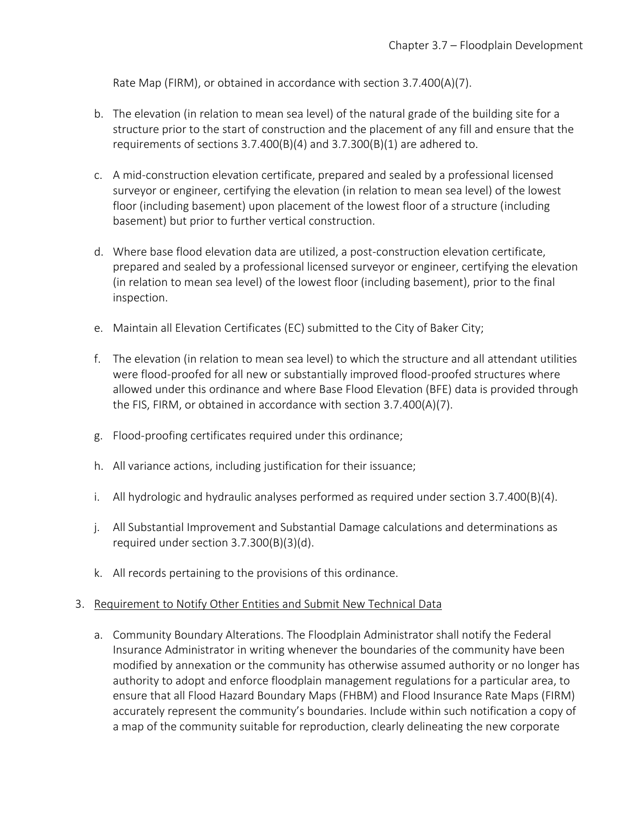Rate Map (FIRM), or obtained in accordance with section 3.7.400(A)(7).

- b. The elevation (in relation to mean sea level) of the natural grade of the building site for a structure prior to the start of construction and the placement of any fill and ensure that the requirements of sections 3.7.400(B)(4) and 3.7.300(B)(1) are adhered to.
- c. A mid-construction elevation certificate, prepared and sealed by a professional licensed surveyor or engineer, certifying the elevation (in relation to mean sea level) of the lowest floor (including basement) upon placement of the lowest floor of a structure (including basement) but prior to further vertical construction.
- d. Where base flood elevation data are utilized, a post-construction elevation certificate, prepared and sealed by a professional licensed surveyor or engineer, certifying the elevation (in relation to mean sea level) of the lowest floor (including basement), prior to the final inspection.
- e. Maintain all Elevation Certificates (EC) submitted to the City of Baker City;
- f. The elevation (in relation to mean sea level) to which the structure and all attendant utilities were flood-proofed for all new or substantially improved flood-proofed structures where allowed under this ordinance and where Base Flood Elevation (BFE) data is provided through the FIS, FIRM, or obtained in accordance with section 3.7.400(A)(7).
- g. Flood-proofing certificates required under this ordinance;
- h. All variance actions, including justification for their issuance;
- i. All hydrologic and hydraulic analyses performed as required under section 3.7.400(B)(4).
- j. All Substantial Improvement and Substantial Damage calculations and determinations as required under section 3.7.300(B)(3)(d).
- k. All records pertaining to the provisions of this ordinance.

#### 3. Requirement to Notify Other Entities and Submit New Technical Data

a. Community Boundary Alterations. The Floodplain Administrator shall notify the Federal Insurance Administrator in writing whenever the boundaries of the community have been modified by annexation or the community has otherwise assumed authority or no longer has authority to adopt and enforce floodplain management regulations for a particular area, to ensure that all Flood Hazard Boundary Maps (FHBM) and Flood Insurance Rate Maps (FIRM) accurately represent the community's boundaries. Include within such notification a copy of a map of the community suitable for reproduction, clearly delineating the new corporate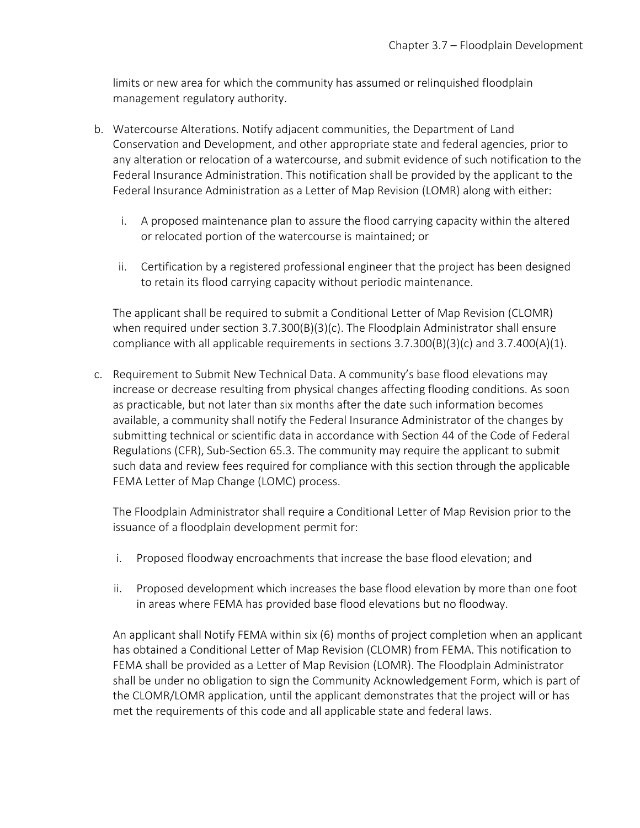limits or new area for which the community has assumed or relinquished floodplain management regulatory authority.

- b. Watercourse Alterations. Notify adjacent communities, the Department of Land Conservation and Development, and other appropriate state and federal agencies, prior to any alteration or relocation of a watercourse, and submit evidence of such notification to the Federal Insurance Administration. This notification shall be provided by the applicant to the Federal Insurance Administration as a Letter of Map Revision (LOMR) along with either:
	- i. A proposed maintenance plan to assure the flood carrying capacity within the altered or relocated portion of the watercourse is maintained; or
	- ii. Certification by a registered professional engineer that the project has been designed to retain its flood carrying capacity without periodic maintenance.

The applicant shall be required to submit a Conditional Letter of Map Revision (CLOMR) when required under section  $3.7.300(B)(3)(c)$ . The Floodplain Administrator shall ensure compliance with all applicable requirements in sections  $3.7.300(B)(3)(c)$  and  $3.7.400(A)(1)$ .

c. Requirement to Submit New Technical Data. A community's base flood elevations may increase or decrease resulting from physical changes affecting flooding conditions. As soon as practicable, but not later than six months after the date such information becomes available, a community shall notify the Federal Insurance Administrator of the changes by submitting technical or scientific data in accordance with Section 44 of the Code of Federal Regulations (CFR), Sub-Section 65.3. The community may require the applicant to submit such data and review fees required for compliance with this section through the applicable FEMA Letter of Map Change (LOMC) process.

The Floodplain Administrator shall require a Conditional Letter of Map Revision prior to the issuance of a floodplain development permit for:

- i. Proposed floodway encroachments that increase the base flood elevation; and
- ii. Proposed development which increases the base flood elevation by more than one foot in areas where FEMA has provided base flood elevations but no floodway.

An applicant shall Notify FEMA within six (6) months of project completion when an applicant has obtained a Conditional Letter of Map Revision (CLOMR) from FEMA. This notification to FEMA shall be provided as a Letter of Map Revision (LOMR). The Floodplain Administrator shall be under no obligation to sign the Community Acknowledgement Form, which is part of the CLOMR/LOMR application, until the applicant demonstrates that the project will or has met the requirements of this code and all applicable state and federal laws.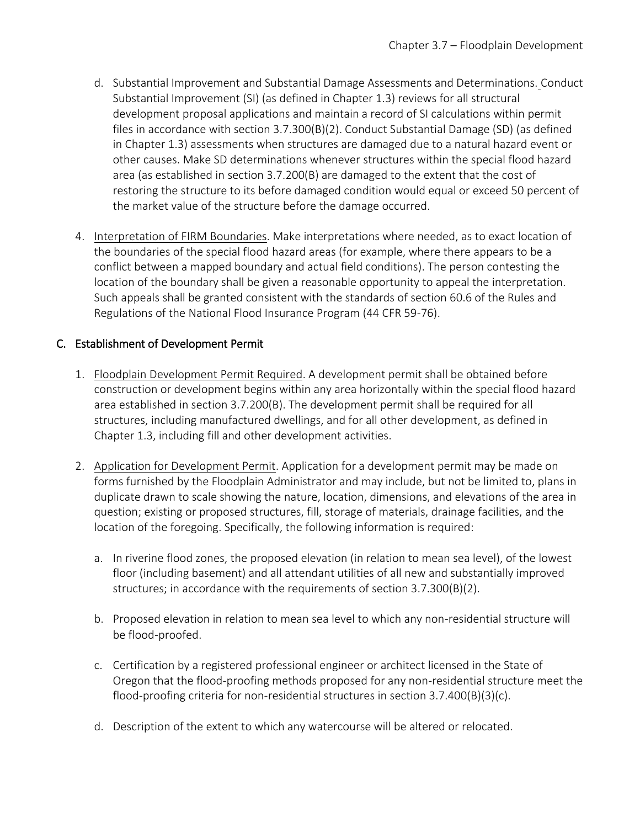- d. Substantial Improvement and Substantial Damage Assessments and Determinations. Conduct Substantial Improvement (SI) (as defined in Chapter 1.3) reviews for all structural development proposal applications and maintain a record of SI calculations within permit files in accordance with section 3.7.300(B)(2). Conduct Substantial Damage (SD) (as defined in Chapter 1.3) assessments when structures are damaged due to a natural hazard event or other causes. Make SD determinations whenever structures within the special flood hazard area (as established in section 3.7.200(B) are damaged to the extent that the cost of restoring the structure to its before damaged condition would equal or exceed 50 percent of the market value of the structure before the damage occurred.
- 4. Interpretation of FIRM Boundaries. Make interpretations where needed, as to exact location of the boundaries of the special flood hazard areas (for example, where there appears to be a conflict between a mapped boundary and actual field conditions). The person contesting the location of the boundary shall be given a reasonable opportunity to appeal the interpretation. Such appeals shall be granted consistent with the standards of section 60.6 of the Rules and Regulations of the National Flood Insurance Program (44 CFR 59-76).

# C. Establishment of Development Permit

- 1. Floodplain Development Permit Required. A development permit shall be obtained before construction or development begins within any area horizontally within the special flood hazard area established in section 3.7.200(B). The development permit shall be required for all structures, including manufactured dwellings, and for all other development, as defined in Chapter 1.3, including fill and other development activities.
- 2. Application for Development Permit. Application for a development permit may be made on forms furnished by the Floodplain Administrator and may include, but not be limited to, plans in duplicate drawn to scale showing the nature, location, dimensions, and elevations of the area in question; existing or proposed structures, fill, storage of materials, drainage facilities, and the location of the foregoing. Specifically, the following information is required:
	- a. In riverine flood zones, the proposed elevation (in relation to mean sea level), of the lowest floor (including basement) and all attendant utilities of all new and substantially improved structures; in accordance with the requirements of section 3.7.300(B)(2).
	- b. Proposed elevation in relation to mean sea level to which any non-residential structure will be flood-proofed.
	- c. Certification by a registered professional engineer or architect licensed in the State of Oregon that the flood-proofing methods proposed for any non-residential structure meet the flood-proofing criteria for non-residential structures in section  $3.7.400(B)(3)(c)$ .
	- d. Description of the extent to which any watercourse will be altered or relocated.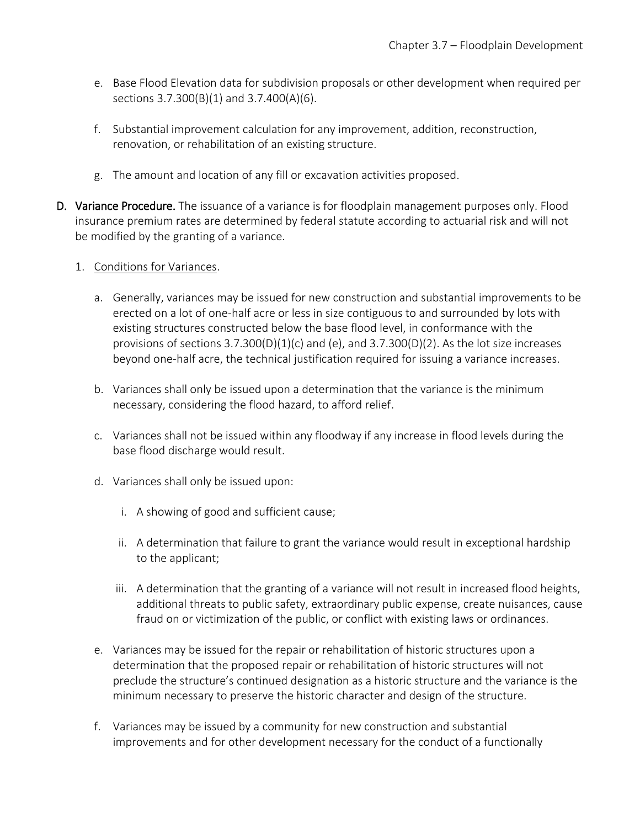- e. Base Flood Elevation data for subdivision proposals or other development when required per sections 3.7.300(B)(1) and 3.7.400(A)(6).
- f. Substantial improvement calculation for any improvement, addition, reconstruction, renovation, or rehabilitation of an existing structure.
- g. The amount and location of any fill or excavation activities proposed.
- D. Variance Procedure. The issuance of a variance is for floodplain management purposes only. Flood insurance premium rates are determined by federal statute according to actuarial risk and will not be modified by the granting of a variance.
	- 1. Conditions for Variances.
		- a. Generally, variances may be issued for new construction and substantial improvements to be erected on a lot of one-half acre or less in size contiguous to and surrounded by lots with existing structures constructed below the base flood level, in conformance with the provisions of sections  $3.7.300(D)(1)(c)$  and  $(e)$ , and  $3.7.300(D)(2)$ . As the lot size increases beyond one-half acre, the technical justification required for issuing a variance increases.
		- b. Variances shall only be issued upon a determination that the variance is the minimum necessary, considering the flood hazard, to afford relief.
		- c. Variances shall not be issued within any floodway if any increase in flood levels during the base flood discharge would result.
		- d. Variances shall only be issued upon:
			- i. A showing of good and sufficient cause;
			- ii. A determination that failure to grant the variance would result in exceptional hardship to the applicant;
			- iii. A determination that the granting of a variance will not result in increased flood heights, additional threats to public safety, extraordinary public expense, create nuisances, cause fraud on or victimization of the public, or conflict with existing laws or ordinances.
		- e. Variances may be issued for the repair or rehabilitation of historic structures upon a determination that the proposed repair or rehabilitation of historic structures will not preclude the structure's continued designation as a historic structure and the variance is the minimum necessary to preserve the historic character and design of the structure.
		- f. Variances may be issued by a community for new construction and substantial improvements and for other development necessary for the conduct of a functionally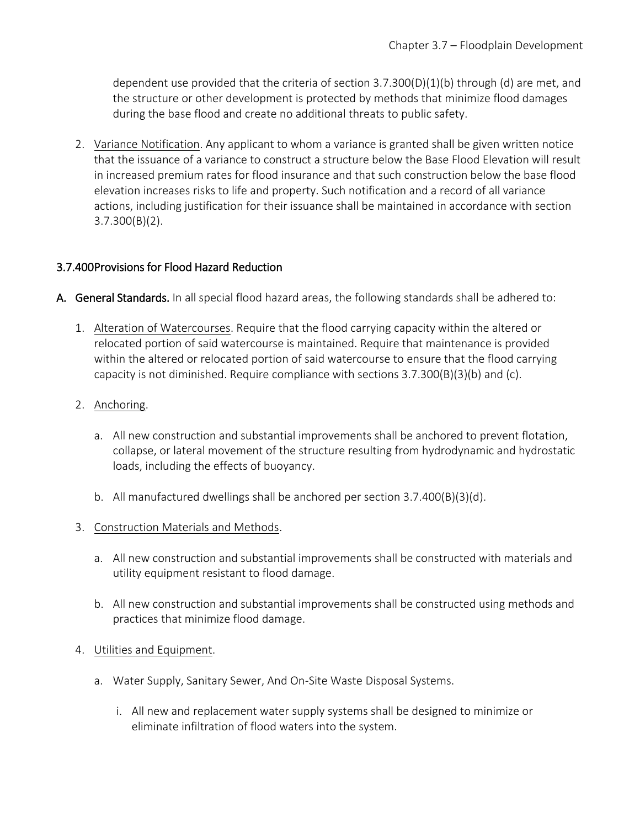dependent use provided that the criteria of section  $3.7.300(D)(1)(b)$  through (d) are met, and the structure or other development is protected by methods that minimize flood damages during the base flood and create no additional threats to public safety.

2. Variance Notification. Any applicant to whom a variance is granted shall be given written notice that the issuance of a variance to construct a structure below the Base Flood Elevation will result in increased premium rates for flood insurance and that such construction below the base flood elevation increases risks to life and property. Such notification and a record of all variance actions, including justification for their issuance shall be maintained in accordance with section 3.7.300(B)(2).

### 3.7.400 Provisions for Flood Hazard Reduction

- A. General Standards. In all special flood hazard areas, the following standards shall be adhered to:
	- 1. Alteration of Watercourses. Require that the flood carrying capacity within the altered or relocated portion of said watercourse is maintained. Require that maintenance is provided within the altered or relocated portion of said watercourse to ensure that the flood carrying capacity is not diminished. Require compliance with sections 3.7.300(B)(3)(b) and (c).
	- 2. Anchoring.
		- a. All new construction and substantial improvements shall be anchored to prevent flotation, collapse, or lateral movement of the structure resulting from hydrodynamic and hydrostatic loads, including the effects of buoyancy.
		- b. All manufactured dwellings shall be anchored per section 3.7.400(B)(3)(d).
	- 3. Construction Materials and Methods.
		- a. All new construction and substantial improvements shall be constructed with materials and utility equipment resistant to flood damage.
		- b. All new construction and substantial improvements shall be constructed using methods and practices that minimize flood damage.
	- 4. Utilities and Equipment.
		- a. Water Supply, Sanitary Sewer, And On-Site Waste Disposal Systems.
			- i. All new and replacement water supply systems shall be designed to minimize or eliminate infiltration of flood waters into the system.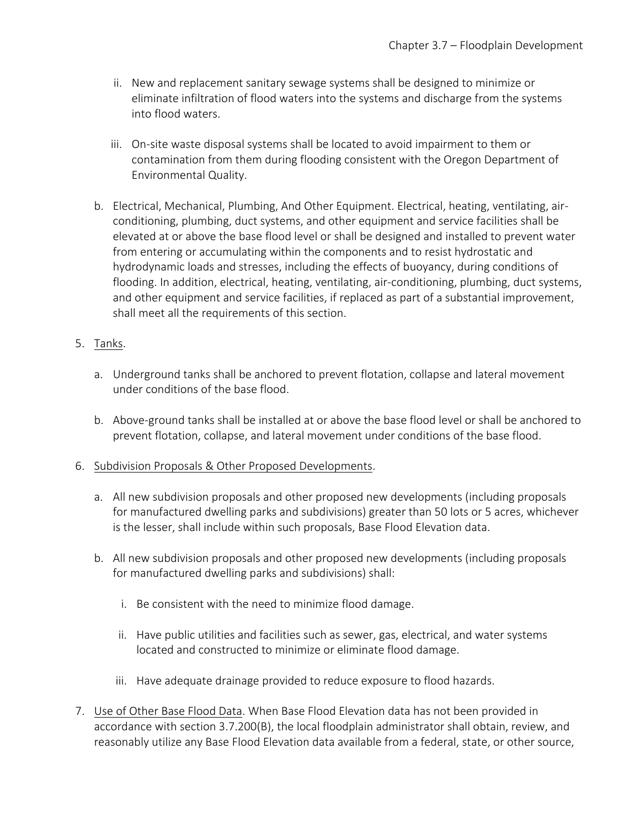- ii. New and replacement sanitary sewage systems shall be designed to minimize or eliminate infiltration of flood waters into the systems and discharge from the systems into flood waters.
- iii. On-site waste disposal systems shall be located to avoid impairment to them or contamination from them during flooding consistent with the Oregon Department of Environmental Quality.
- b. Electrical, Mechanical, Plumbing, And Other Equipment. Electrical, heating, ventilating, airconditioning, plumbing, duct systems, and other equipment and service facilities shall be elevated at or above the base flood level or shall be designed and installed to prevent water from entering or accumulating within the components and to resist hydrostatic and hydrodynamic loads and stresses, including the effects of buoyancy, during conditions of flooding. In addition, electrical, heating, ventilating, air-conditioning, plumbing, duct systems, and other equipment and service facilities, if replaced as part of a substantial improvement, shall meet all the requirements of this section.

# 5. Tanks.

- a. Underground tanks shall be anchored to prevent flotation, collapse and lateral movement under conditions of the base flood.
- b. Above-ground tanks shall be installed at or above the base flood level or shall be anchored to prevent flotation, collapse, and lateral movement under conditions of the base flood.

#### 6. Subdivision Proposals & Other Proposed Developments.

- a. All new subdivision proposals and other proposed new developments (including proposals for manufactured dwelling parks and subdivisions) greater than 50 lots or 5 acres, whichever is the lesser, shall include within such proposals, Base Flood Elevation data.
- b. All new subdivision proposals and other proposed new developments (including proposals for manufactured dwelling parks and subdivisions) shall:
	- i. Be consistent with the need to minimize flood damage.
	- ii. Have public utilities and facilities such as sewer, gas, electrical, and water systems located and constructed to minimize or eliminate flood damage.
	- iii. Have adequate drainage provided to reduce exposure to flood hazards.
- 7. Use of Other Base Flood Data. When Base Flood Elevation data has not been provided in accordance with section 3.7.200(B), the local floodplain administrator shall obtain, review, and reasonably utilize any Base Flood Elevation data available from a federal, state, or other source,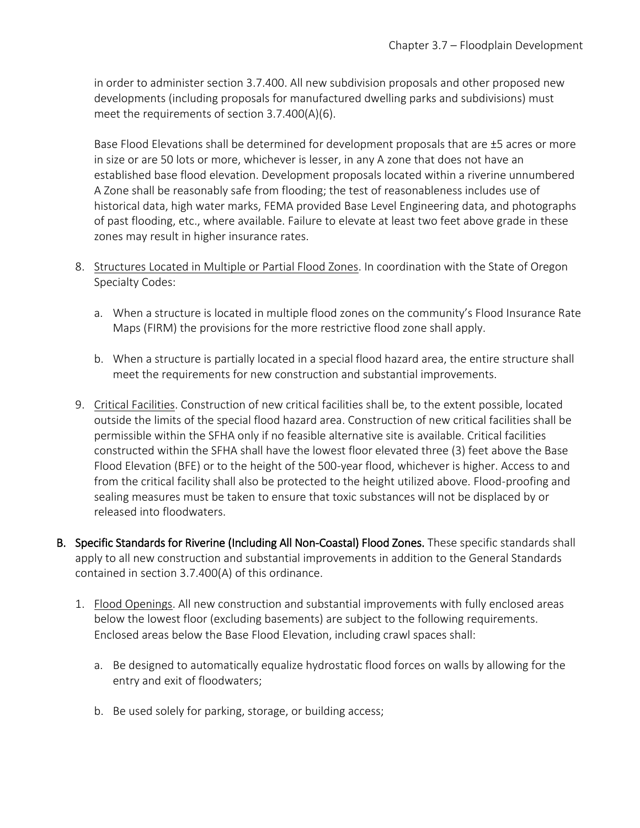in order to administer section 3.7.400. All new subdivision proposals and other proposed new developments (including proposals for manufactured dwelling parks and subdivisions) must meet the requirements of section 3.7.400(A)(6).

Base Flood Elevations shall be determined for development proposals that are ±5 acres or more in size or are 50 lots or more, whichever is lesser, in any A zone that does not have an established base flood elevation. Development proposals located within a riverine unnumbered A Zone shall be reasonably safe from flooding; the test of reasonableness includes use of historical data, high water marks, FEMA provided Base Level Engineering data, and photographs of past flooding, etc., where available. Failure to elevate at least two feet above grade in these zones may result in higher insurance rates.

- 8. Structures Located in Multiple or Partial Flood Zones. In coordination with the State of Oregon Specialty Codes:
	- a. When a structure is located in multiple flood zones on the community's Flood Insurance Rate Maps (FIRM) the provisions for the more restrictive flood zone shall apply.
	- b. When a structure is partially located in a special flood hazard area, the entire structure shall meet the requirements for new construction and substantial improvements.
- 9. Critical Facilities. Construction of new critical facilities shall be, to the extent possible, located outside the limits of the special flood hazard area. Construction of new critical facilities shall be permissible within the SFHA only if no feasible alternative site is available. Critical facilities constructed within the SFHA shall have the lowest floor elevated three (3) feet above the Base Flood Elevation (BFE) or to the height of the 500-year flood, whichever is higher. Access to and from the critical facility shall also be protected to the height utilized above. Flood-proofing and sealing measures must be taken to ensure that toxic substances will not be displaced by or released into floodwaters.
- B. Specific Standards for Riverine (Including All Non-Coastal) Flood Zones. These specific standards shall apply to all new construction and substantial improvements in addition to the General Standards contained in section 3.7.400(A) of this ordinance.
	- 1. Flood Openings. All new construction and substantial improvements with fully enclosed areas below the lowest floor (excluding basements) are subject to the following requirements. Enclosed areas below the Base Flood Elevation, including crawl spaces shall:
		- a. Be designed to automatically equalize hydrostatic flood forces on walls by allowing for the entry and exit of floodwaters;
		- b. Be used solely for parking, storage, or building access;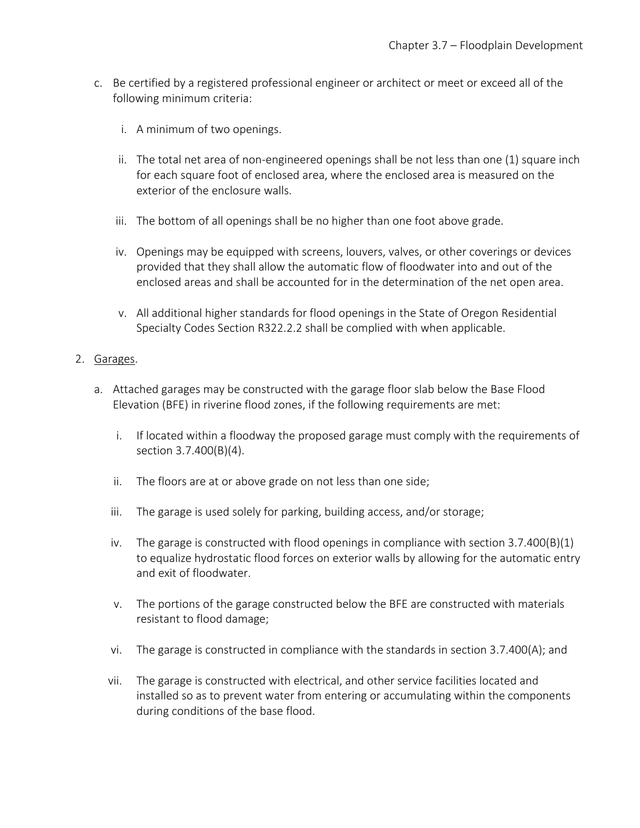- c. Be certified by a registered professional engineer or architect or meet or exceed all of the following minimum criteria:
	- i. A minimum of two openings.
	- ii. The total net area of non-engineered openings shall be not less than one (1) square inch for each square foot of enclosed area, where the enclosed area is measured on the exterior of the enclosure walls.
	- iii. The bottom of all openings shall be no higher than one foot above grade.
	- iv. Openings may be equipped with screens, louvers, valves, or other coverings or devices provided that they shall allow the automatic flow of floodwater into and out of the enclosed areas and shall be accounted for in the determination of the net open area.
	- v. All additional higher standards for flood openings in the State of Oregon Residential Specialty Codes Section R322.2.2 shall be complied with when applicable.

### 2. Garages.

- a. Attached garages may be constructed with the garage floor slab below the Base Flood Elevation (BFE) in riverine flood zones, if the following requirements are met:
	- i. If located within a floodway the proposed garage must comply with the requirements of section 3.7.400(B)(4).
	- ii. The floors are at or above grade on not less than one side;
	- iii. The garage is used solely for parking, building access, and/or storage;
	- iv. The garage is constructed with flood openings in compliance with section  $3.7.400(B)(1)$ to equalize hydrostatic flood forces on exterior walls by allowing for the automatic entry and exit of floodwater.
	- v. The portions of the garage constructed below the BFE are constructed with materials resistant to flood damage;
	- vi. The garage is constructed in compliance with the standards in section 3.7.400(A); and
	- vii. The garage is constructed with electrical, and other service facilities located and installed so as to prevent water from entering or accumulating within the components during conditions of the base flood.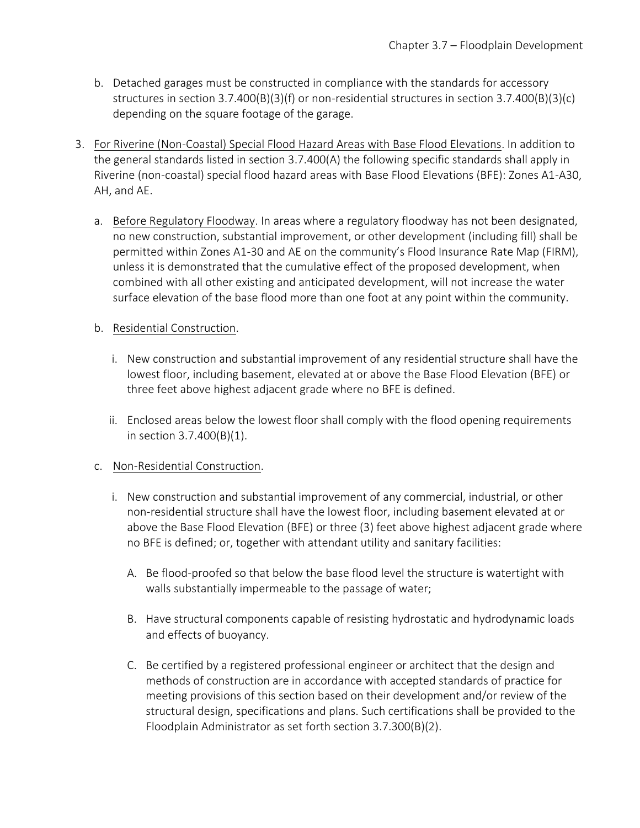- b. Detached garages must be constructed in compliance with the standards for accessory structures in section 3.7.400(B)(3)(f) or non-residential structures in section 3.7.400(B)(3)(c) depending on the square footage of the garage.
- 3. For Riverine (Non-Coastal) Special Flood Hazard Areas with Base Flood Elevations. In addition to the general standards listed in section 3.7.400(A) the following specific standards shall apply in Riverine (non-coastal) special flood hazard areas with Base Flood Elevations (BFE): Zones A1-A30, AH, and AE.
	- a. Before Regulatory Floodway. In areas where a regulatory floodway has not been designated, no new construction, substantial improvement, or other development (including fill) shall be permitted within Zones A1-30 and AE on the community's Flood Insurance Rate Map (FIRM), unless it is demonstrated that the cumulative effect of the proposed development, when combined with all other existing and anticipated development, will not increase the water surface elevation of the base flood more than one foot at any point within the community.

### b. Residential Construction.

- i. New construction and substantial improvement of any residential structure shall have the lowest floor, including basement, elevated at or above the Base Flood Elevation (BFE) or three feet above highest adjacent grade where no BFE is defined.
- ii. Enclosed areas below the lowest floor shall comply with the flood opening requirements in section 3.7.400(B)(1).

# c. Non-Residential Construction.

- i. New construction and substantial improvement of any commercial, industrial, or other non-residential structure shall have the lowest floor, including basement elevated at or above the Base Flood Elevation (BFE) or three (3) feet above highest adjacent grade where no BFE is defined; or, together with attendant utility and sanitary facilities:
	- A. Be flood-proofed so that below the base flood level the structure is watertight with walls substantially impermeable to the passage of water;
	- B. Have structural components capable of resisting hydrostatic and hydrodynamic loads and effects of buoyancy.
	- C. Be certified by a registered professional engineer or architect that the design and methods of construction are in accordance with accepted standards of practice for meeting provisions of this section based on their development and/or review of the structural design, specifications and plans. Such certifications shall be provided to the Floodplain Administrator as set forth section 3.7.300(B)(2).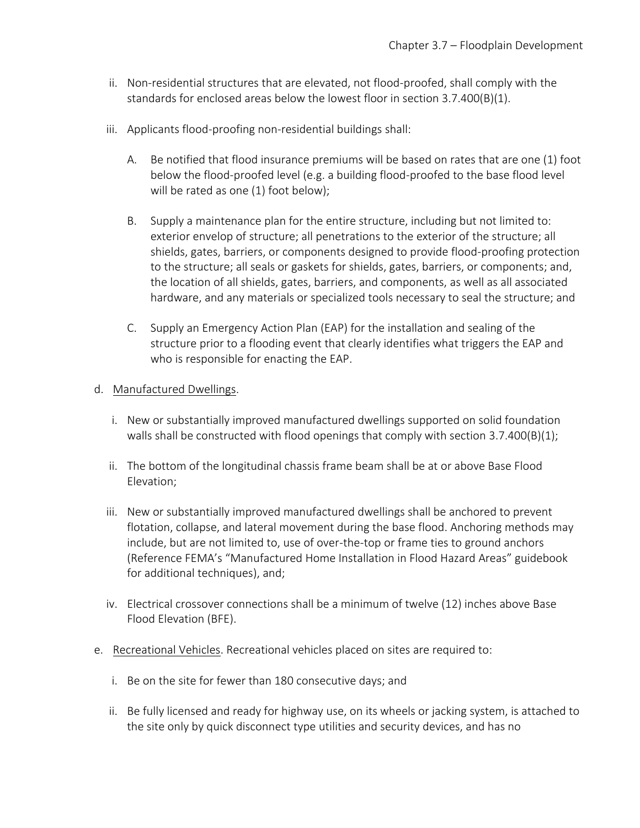- ii. Non-residential structures that are elevated, not flood-proofed, shall comply with the standards for enclosed areas below the lowest floor in section 3.7.400(B)(1).
- iii. Applicants flood-proofing non-residential buildings shall:
	- A. Be notified that flood insurance premiums will be based on rates that are one (1) foot below the flood-proofed level (e.g. a building flood-proofed to the base flood level will be rated as one (1) foot below);
	- B. Supply a maintenance plan for the entire structure, including but not limited to: exterior envelop of structure; all penetrations to the exterior of the structure; all shields, gates, barriers, or components designed to provide flood-proofing protection to the structure; all seals or gaskets for shields, gates, barriers, or components; and, the location of all shields, gates, barriers, and components, as well as all associated hardware, and any materials or specialized tools necessary to seal the structure; and
	- C. Supply an Emergency Action Plan (EAP) for the installation and sealing of the structure prior to a flooding event that clearly identifies what triggers the EAP and who is responsible for enacting the EAP.
- d. Manufactured Dwellings.
	- i. New or substantially improved manufactured dwellings supported on solid foundation walls shall be constructed with flood openings that comply with section  $3.7.400(B)(1)$ ;
	- ii. The bottom of the longitudinal chassis frame beam shall be at or above Base Flood Elevation;
	- iii. New or substantially improved manufactured dwellings shall be anchored to prevent flotation, collapse, and lateral movement during the base flood. Anchoring methods may include, but are not limited to, use of over-the-top or frame ties to ground anchors (Reference FEMA's "Manufactured Home Installation in Flood Hazard Areas" guidebook for additional techniques), and;
	- iv. Electrical crossover connections shall be a minimum of twelve (12) inches above Base Flood Elevation (BFE).
- e. Recreational Vehicles. Recreational vehicles placed on sites are required to:
	- i. Be on the site for fewer than 180 consecutive days; and
	- ii. Be fully licensed and ready for highway use, on its wheels or jacking system, is attached to the site only by quick disconnect type utilities and security devices, and has no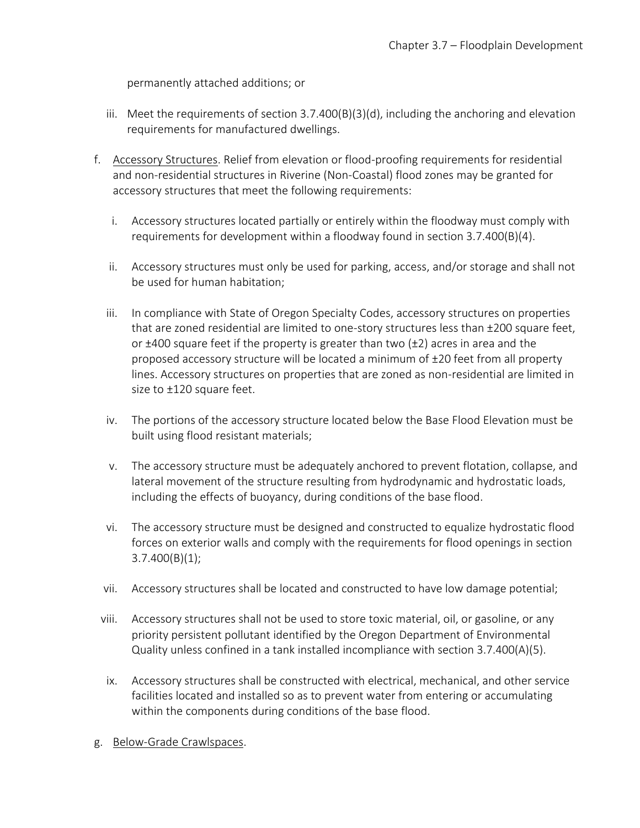permanently attached additions; or

- iii. Meet the requirements of section  $3.7.400(B)(3)(d)$ , including the anchoring and elevation requirements for manufactured dwellings.
- f. Accessory Structures. Relief from elevation or flood-proofing requirements for residential and non-residential structures in Riverine (Non-Coastal) flood zones may be granted for accessory structures that meet the following requirements:
	- i. Accessory structures located partially or entirely within the floodway must comply with requirements for development within a floodway found in section 3.7.400(B)(4).
	- ii. Accessory structures must only be used for parking, access, and/or storage and shall not be used for human habitation;
	- iii. In compliance with State of Oregon Specialty Codes, accessory structures on properties that are zoned residential are limited to one-story structures less than ±200 square feet, or  $\pm$ 400 square feet if the property is greater than two ( $\pm$ 2) acres in area and the proposed accessory structure will be located a minimum of ±20 feet from all property lines. Accessory structures on properties that are zoned as non-residential are limited in size to ±120 square feet.
	- iv. The portions of the accessory structure located below the Base Flood Elevation must be built using flood resistant materials;
	- v. The accessory structure must be adequately anchored to prevent flotation, collapse, and lateral movement of the structure resulting from hydrodynamic and hydrostatic loads, including the effects of buoyancy, during conditions of the base flood.
	- vi. The accessory structure must be designed and constructed to equalize hydrostatic flood forces on exterior walls and comply with the requirements for flood openings in section 3.7.400(B)(1);
	- vii. Accessory structures shall be located and constructed to have low damage potential;
- viii. Accessory structures shall not be used to store toxic material, oil, or gasoline, or any priority persistent pollutant identified by the Oregon Department of Environmental Quality unless confined in a tank installed incompliance with section 3.7.400(A)(5).
- ix. Accessory structures shall be constructed with electrical, mechanical, and other service facilities located and installed so as to prevent water from entering or accumulating within the components during conditions of the base flood.
- g. Below-Grade Crawlspaces.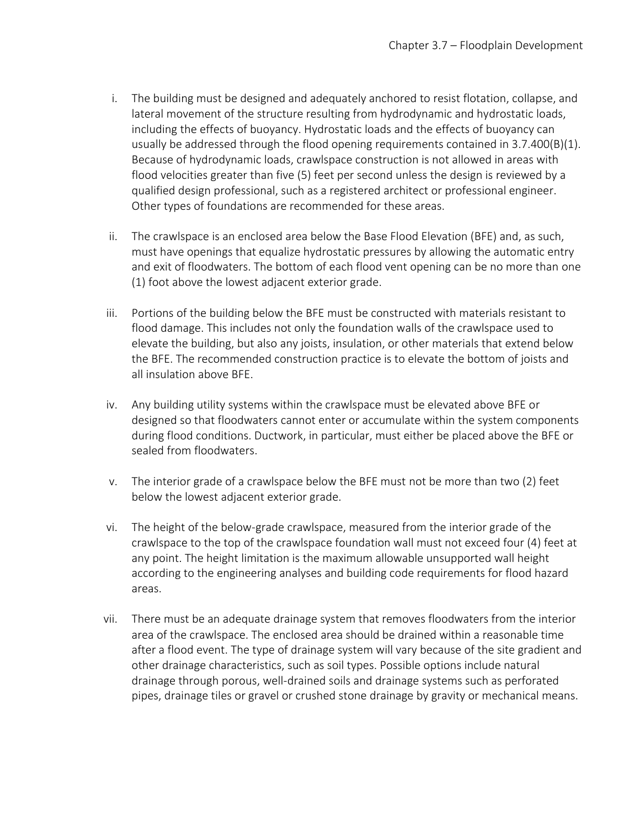- i. The building must be designed and adequately anchored to resist flotation, collapse, and lateral movement of the structure resulting from hydrodynamic and hydrostatic loads, including the effects of buoyancy. Hydrostatic loads and the effects of buoyancy can usually be addressed through the flood opening requirements contained in 3.7.400(B)(1). Because of hydrodynamic loads, crawlspace construction is not allowed in areas with flood velocities greater than five (5) feet per second unless the design is reviewed by a qualified design professional, such as a registered architect or professional engineer. Other types of foundations are recommended for these areas.
- ii. The crawlspace is an enclosed area below the Base Flood Elevation (BFE) and, as such, must have openings that equalize hydrostatic pressures by allowing the automatic entry and exit of floodwaters. The bottom of each flood vent opening can be no more than one (1) foot above the lowest adjacent exterior grade.
- iii. Portions of the building below the BFE must be constructed with materials resistant to flood damage. This includes not only the foundation walls of the crawlspace used to elevate the building, but also any joists, insulation, or other materials that extend below the BFE. The recommended construction practice is to elevate the bottom of joists and all insulation above BFE.
- iv. Any building utility systems within the crawlspace must be elevated above BFE or designed so that floodwaters cannot enter or accumulate within the system components during flood conditions. Ductwork, in particular, must either be placed above the BFE or sealed from floodwaters.
- v. The interior grade of a crawlspace below the BFE must not be more than two (2) feet below the lowest adjacent exterior grade.
- vi. The height of the below-grade crawlspace, measured from the interior grade of the crawlspace to the top of the crawlspace foundation wall must not exceed four (4) feet at any point. The height limitation is the maximum allowable unsupported wall height according to the engineering analyses and building code requirements for flood hazard areas.
- vii. There must be an adequate drainage system that removes floodwaters from the interior area of the crawlspace. The enclosed area should be drained within a reasonable time after a flood event. The type of drainage system will vary because of the site gradient and other drainage characteristics, such as soil types. Possible options include natural drainage through porous, well-drained soils and drainage systems such as perforated pipes, drainage tiles or gravel or crushed stone drainage by gravity or mechanical means.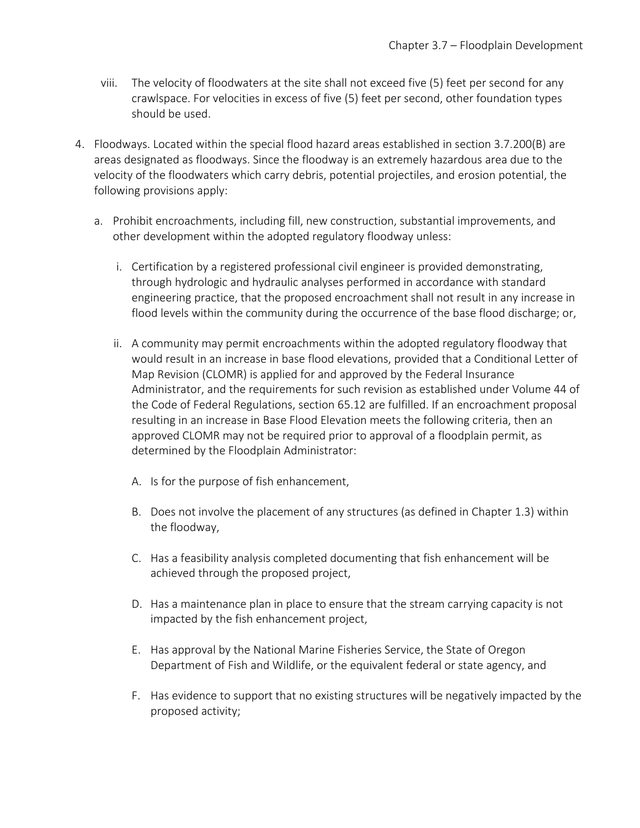- viii. The velocity of floodwaters at the site shall not exceed five (5) feet per second for any crawlspace. For velocities in excess of five (5) feet per second, other foundation types should be used.
- 4. Floodways. Located within the special flood hazard areas established in section 3.7.200(B) are areas designated as floodways. Since the floodway is an extremely hazardous area due to the velocity of the floodwaters which carry debris, potential projectiles, and erosion potential, the following provisions apply:
	- a. Prohibit encroachments, including fill, new construction, substantial improvements, and other development within the adopted regulatory floodway unless:
		- i. Certification by a registered professional civil engineer is provided demonstrating, through hydrologic and hydraulic analyses performed in accordance with standard engineering practice, that the proposed encroachment shall not result in any increase in flood levels within the community during the occurrence of the base flood discharge; or,
		- ii. A community may permit encroachments within the adopted regulatory floodway that would result in an increase in base flood elevations, provided that a Conditional Letter of Map Revision (CLOMR) is applied for and approved by the Federal Insurance Administrator, and the requirements for such revision as established under Volume 44 of the Code of Federal Regulations, section 65.12 are fulfilled. If an encroachment proposal resulting in an increase in Base Flood Elevation meets the following criteria, then an approved CLOMR may not be required prior to approval of a floodplain permit, as determined by the Floodplain Administrator:
			- A. Is for the purpose of fish enhancement,
			- B. Does not involve the placement of any structures (as defined in Chapter 1.3) within the floodway,
			- C. Has a feasibility analysis completed documenting that fish enhancement will be achieved through the proposed project,
			- D. Has a maintenance plan in place to ensure that the stream carrying capacity is not impacted by the fish enhancement project,
			- E. Has approval by the National Marine Fisheries Service, the State of Oregon Department of Fish and Wildlife, or the equivalent federal or state agency, and
			- F. Has evidence to support that no existing structures will be negatively impacted by the proposed activity;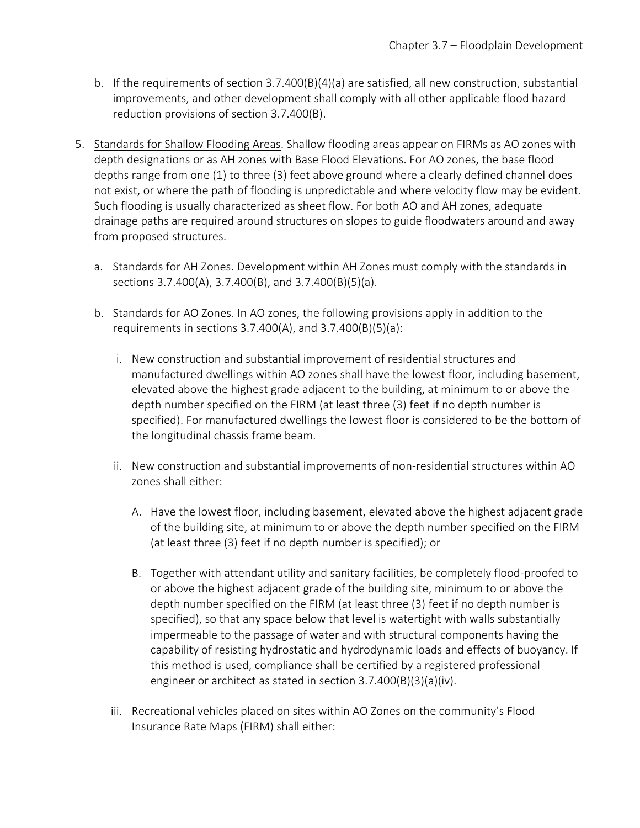- b. If the requirements of section  $3.7.400(B)(4)(a)$  are satisfied, all new construction, substantial improvements, and other development shall comply with all other applicable flood hazard reduction provisions of section 3.7.400(B).
- 5. Standards for Shallow Flooding Areas. Shallow flooding areas appear on FIRMs as AO zones with depth designations or as AH zones with Base Flood Elevations. For AO zones, the base flood depths range from one (1) to three (3) feet above ground where a clearly defined channel does not exist, or where the path of flooding is unpredictable and where velocity flow may be evident. Such flooding is usually characterized as sheet flow. For both AO and AH zones, adequate drainage paths are required around structures on slopes to guide floodwaters around and away from proposed structures.
	- a. Standards for AH Zones. Development within AH Zones must comply with the standards in sections 3.7.400(A), 3.7.400(B), and 3.7.400(B)(5)(a).
	- b. Standards for AO Zones. In AO zones, the following provisions apply in addition to the requirements in sections 3.7.400(A), and 3.7.400(B)(5)(a):
		- i. New construction and substantial improvement of residential structures and manufactured dwellings within AO zones shall have the lowest floor, including basement, elevated above the highest grade adjacent to the building, at minimum to or above the depth number specified on the FIRM (at least three (3) feet if no depth number is specified). For manufactured dwellings the lowest floor is considered to be the bottom of the longitudinal chassis frame beam.
		- ii. New construction and substantial improvements of non-residential structures within AO zones shall either:
			- A. Have the lowest floor, including basement, elevated above the highest adjacent grade of the building site, at minimum to or above the depth number specified on the FIRM (at least three (3) feet if no depth number is specified); or
			- B. Together with attendant utility and sanitary facilities, be completely flood-proofed to or above the highest adjacent grade of the building site, minimum to or above the depth number specified on the FIRM (at least three (3) feet if no depth number is specified), so that any space below that level is watertight with walls substantially impermeable to the passage of water and with structural components having the capability of resisting hydrostatic and hydrodynamic loads and effects of buoyancy. If this method is used, compliance shall be certified by a registered professional engineer or architect as stated in section 3.7.400(B)(3)(a)(iv).
		- iii. Recreational vehicles placed on sites within AO Zones on the community's Flood Insurance Rate Maps (FIRM) shall either: